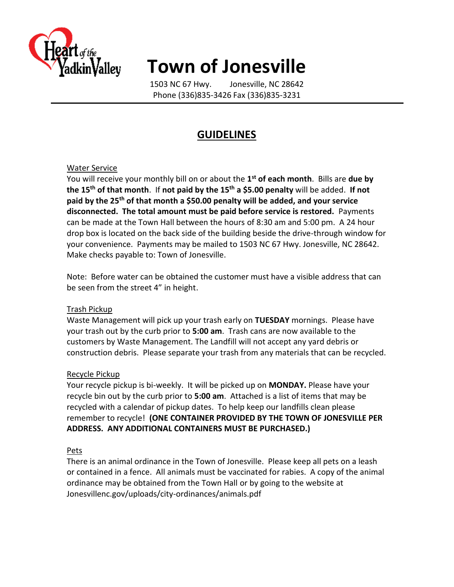

# **Town of Jonesville**

1503 NC 67 Hwy. Jonesville, NC 28642 Phone (336)835-3426 Fax (336)835-3231

### **GUIDELINES**

#### Water Service

You will receive your monthly bill on or about the **1 st of each month**. Bills are **due by the 15th of that month**. If **not paid by the 15th a \$5.00 penalty** will be added. **If not paid by the 25th of that month a \$50.00 penalty will be added, and your service disconnected. The total amount must be paid before service is restored.** Payments can be made at the Town Hall between the hours of 8:30 am and 5:00 pm. A 24 hour drop box is located on the back side of the building beside the drive-through window for your convenience. Payments may be mailed to 1503 NC 67 Hwy. Jonesville, NC 28642. Make checks payable to: Town of Jonesville.

Note: Before water can be obtained the customer must have a visible address that can be seen from the street 4" in height.

#### Trash Pickup

Waste Management will pick up your trash early on **TUESDAY** mornings. Please have your trash out by the curb prior to **5:00 am**. Trash cans are now available to the customers by Waste Management. The Landfill will not accept any yard debris or construction debris. Please separate your trash from any materials that can be recycled.

#### Recycle Pickup

Your recycle pickup is bi-weekly. It will be picked up on **MONDAY.** Please have your recycle bin out by the curb prior to **5:00 am**. Attached is a list of items that may be recycled with a calendar of pickup dates. To help keep our landfills clean please remember to recycle! **(ONE CONTAINER PROVIDED BY THE TOWN OF JONESVILLE PER ADDRESS. ANY ADDITIONAL CONTAINERS MUST BE PURCHASED.)**

#### Pets

There is an animal ordinance in the Town of Jonesville. Please keep all pets on a leash or contained in a fence. All animals must be vaccinated for rabies. A copy of the animal ordinance may be obtained from the Town Hall or by going to the website at Jonesvillenc.gov/uploads/city-ordinances/animals.pdf